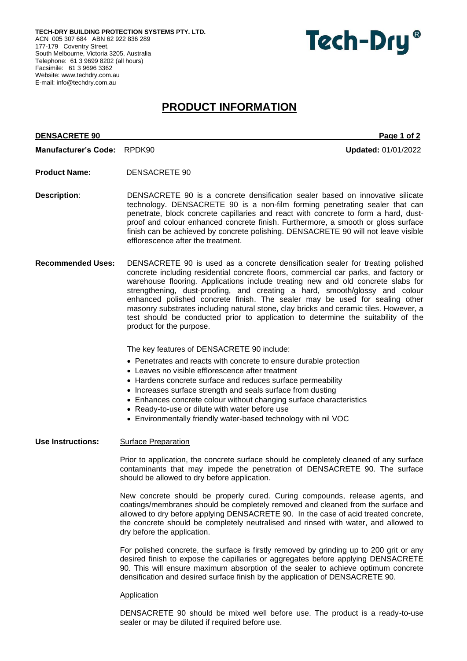**TECH-DRY BUILDING PROTECTION SYSTEMS PTY. LTD.** ACN 005 307 684 ABN 62 922 836 289 177-179 Coventry Street, South Melbourne, Victoria 3205, Australia Telephone: 61 3 9699 8202 (all hours) Facsimile: 61 3 9696 3362 Website[: www.techdry.com.au](http://www.techdry.com.au/) E-mail: [info@techdry.com.au](mailto:info@techdry.com.au)



# **PRODUCT INFORMATION**

# **DENSACRETE 90** Page 1 of 2

**Manufacturer's Code:** RPDK90 **Updated:** 01/01/2022

- **Product Name:** DENSACRETE 90
- **Description**: DENSACRETE 90 is a concrete densification sealer based on innovative silicate technology. DENSACRETE 90 is a non-film forming penetrating sealer that can penetrate, block concrete capillaries and react with concrete to form a hard, dustproof and colour enhanced concrete finish. Furthermore, a smooth or gloss surface finish can be achieved by concrete polishing. DENSACRETE 90 will not leave visible efflorescence after the treatment.
- **Recommended Uses:** DENSACRETE 90 is used as a concrete densification sealer for treating polished concrete including residential concrete floors, commercial car parks, and factory or warehouse flooring. Applications include treating new and old concrete slabs for strengthening, dust-proofing, and creating a hard, smooth/glossy and colour enhanced polished concrete finish. The sealer may be used for sealing other masonry substrates including natural stone, clay bricks and ceramic tiles. However, a test should be conducted prior to application to determine the suitability of the product for the purpose.

The key features of DENSACRETE 90 include:

- Penetrates and reacts with concrete to ensure durable protection
- Leaves no visible efflorescence after treatment
- Hardens concrete surface and reduces surface permeability
- Increases surface strength and seals surface from dusting
- Enhances concrete colour without changing surface characteristics
- Ready-to-use or dilute with water before use
- Environmentally friendly water-based technology with nil VOC

# **Use Instructions:** Surface Preparation

Prior to application, the concrete surface should be completely cleaned of any surface contaminants that may impede the penetration of DENSACRETE 90. The surface should be allowed to dry before application.

New concrete should be properly cured. Curing compounds, release agents, and coatings/membranes should be completely removed and cleaned from the surface and allowed to dry before applying DENSACRETE 90. In the case of acid treated concrete, the concrete should be completely neutralised and rinsed with water, and allowed to dry before the application.

For polished concrete, the surface is firstly removed by grinding up to 200 grit or any desired finish to expose the capillaries or aggregates before applying DENSACRETE 90. This will ensure maximum absorption of the sealer to achieve optimum concrete densification and desired surface finish by the application of DENSACRETE 90.

# **Application**

DENSACRETE 90 should be mixed well before use. The product is a ready-to-use sealer or may be diluted if required before use.